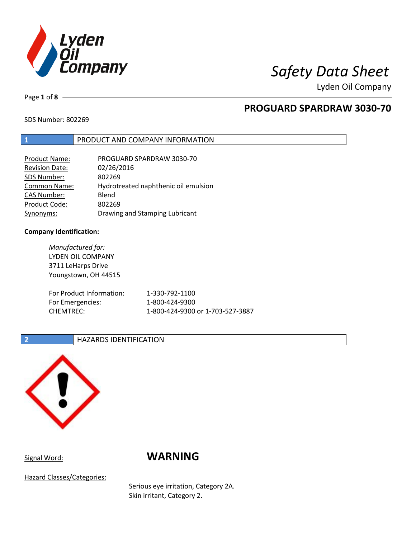

Lyden Oil Company

Page **1** of **8**

# **PROGUARD SPARDRAW 3030-70**

SDS Number: 802269

# **1** PRODUCT AND COMPANY INFORMATION

| <b>Product Name:</b>  | PROGUARD SPARDRAW 3030-70            |
|-----------------------|--------------------------------------|
| <b>Revision Date:</b> | 02/26/2016                           |
| SDS Number:           | 802269                               |
| <b>Common Name:</b>   | Hydrotreated naphthenic oil emulsion |
| <b>CAS Number:</b>    | Blend                                |
| Product Code:         | 802269                               |
| Synonyms:             | Drawing and Stamping Lubricant       |

## **Company Identification:**

*Manufactured for:* LYDEN OIL COMPANY 3711 LeHarps Drive Youngstown, OH 44515 For Product Information: 1-330-792-1100 For Emergencies: 1-800-424-9300 CHEMTREC: 1-800-424-9300 or 1-703-527-3887

## **2 HAZARDS IDENTIFICATION**



# Signal Word: **WARNING**

Hazard Classes/Categories:

Serious eye irritation, Category 2A. Skin irritant, Category 2.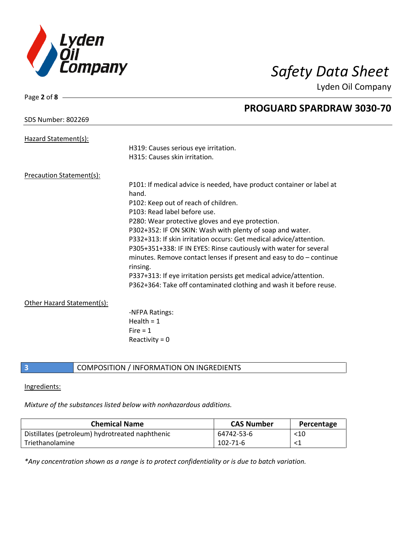

Lyden Oil Company

| Page 2 of 8                |                                                                                   |
|----------------------------|-----------------------------------------------------------------------------------|
|                            | <b>PROGUARD SPARDRAW 3030-70</b>                                                  |
| <b>SDS Number: 802269</b>  |                                                                                   |
| Hazard Statement(s):       |                                                                                   |
|                            | H319: Causes serious eye irritation.                                              |
|                            | H315: Causes skin irritation.                                                     |
| Precaution Statement(s):   |                                                                                   |
|                            | P101: If medical advice is needed, have product container or label at             |
|                            | hand.                                                                             |
|                            | P102: Keep out of reach of children.                                              |
|                            | P103: Read label before use.                                                      |
|                            | P280: Wear protective gloves and eye protection.                                  |
|                            | P302+352: IF ON SKIN: Wash with plenty of soap and water.                         |
|                            | P332+313: If skin irritation occurs: Get medical advice/attention.                |
|                            | P305+351+338: IF IN EYES: Rinse cautiously with water for several                 |
|                            | minutes. Remove contact lenses if present and easy to $do$ – continue<br>rinsing. |
|                            | P337+313: If eye irritation persists get medical advice/attention.                |
|                            | P362+364: Take off contaminated clothing and wash it before reuse.                |
| Other Hazard Statement(s): |                                                                                   |
|                            | -NFPA Ratings:                                                                    |
|                            | Health $= 1$                                                                      |
|                            | Fire $= 1$                                                                        |
|                            | Reactivity = $0$                                                                  |
|                            |                                                                                   |

# **3** COMPOSITION / INFORMATION ON INGREDIENTS

### Ingredients:

*Mixture of the substances listed below with nonhazardous additions.*

| <b>Chemical Name</b>                            | <b>CAS Number</b> | Percentage |
|-------------------------------------------------|-------------------|------------|
| Distillates (petroleum) hydrotreated naphthenic | 64742-53-6        | $<$ 10     |
| Triethanolamine                                 | 102-71-6          |            |

*\*Any concentration shown as a range is to protect confidentiality or is due to batch variation.*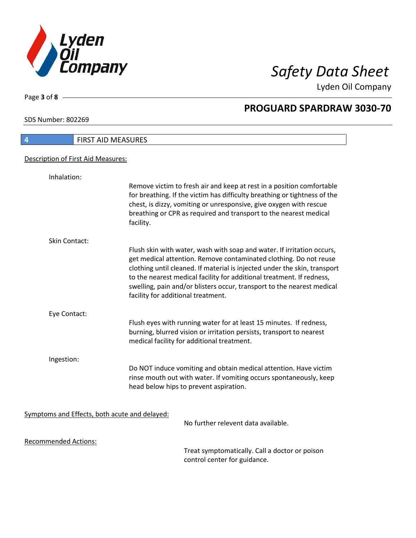

Lyden Oil Company

SDS Number: 802269

Page **3** of **8**

 $\mathbf l$ 

| FIRST AID MEASURES<br>4                       |                                                                                                                                                                                                                                                                                                                                                                                                                   |
|-----------------------------------------------|-------------------------------------------------------------------------------------------------------------------------------------------------------------------------------------------------------------------------------------------------------------------------------------------------------------------------------------------------------------------------------------------------------------------|
| Description of First Aid Measures:            |                                                                                                                                                                                                                                                                                                                                                                                                                   |
| Inhalation:                                   |                                                                                                                                                                                                                                                                                                                                                                                                                   |
|                                               | Remove victim to fresh air and keep at rest in a position comfortable<br>for breathing. If the victim has difficulty breathing or tightness of the<br>chest, is dizzy, vomiting or unresponsive, give oxygen with rescue<br>breathing or CPR as required and transport to the nearest medical<br>facility.                                                                                                        |
| Skin Contact:                                 |                                                                                                                                                                                                                                                                                                                                                                                                                   |
|                                               | Flush skin with water, wash with soap and water. If irritation occurs,<br>get medical attention. Remove contaminated clothing. Do not reuse<br>clothing until cleaned. If material is injected under the skin, transport<br>to the nearest medical facility for additional treatment. If redness,<br>swelling, pain and/or blisters occur, transport to the nearest medical<br>facility for additional treatment. |
| Eye Contact:                                  |                                                                                                                                                                                                                                                                                                                                                                                                                   |
|                                               | Flush eyes with running water for at least 15 minutes. If redness,<br>burning, blurred vision or irritation persists, transport to nearest<br>medical facility for additional treatment.                                                                                                                                                                                                                          |
| Ingestion:                                    |                                                                                                                                                                                                                                                                                                                                                                                                                   |
|                                               | Do NOT induce vomiting and obtain medical attention. Have victim<br>rinse mouth out with water. If vomiting occurs spontaneously, keep<br>head below hips to prevent aspiration.                                                                                                                                                                                                                                  |
|                                               |                                                                                                                                                                                                                                                                                                                                                                                                                   |
| Symptoms and Effects, both acute and delayed: | No further relevent data available.                                                                                                                                                                                                                                                                                                                                                                               |
| <b>Recommended Actions:</b>                   |                                                                                                                                                                                                                                                                                                                                                                                                                   |
|                                               | Treat symptomatically. Call a doctor or poison                                                                                                                                                                                                                                                                                                                                                                    |

control center for guidance.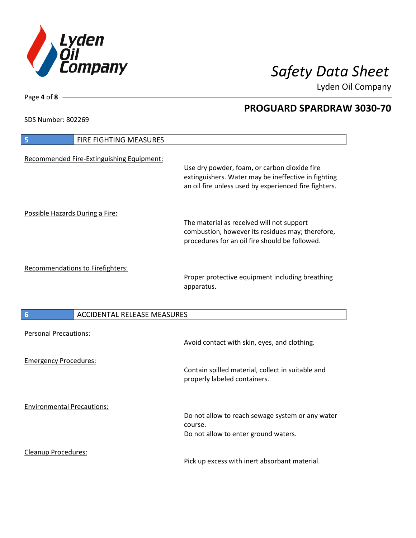

Lyden Oil Company

SDS Number: 802269

Page **4** of **8**

| FIRE FIGHTING MEASURES<br>5                           |                                                                                                                                                              |
|-------------------------------------------------------|--------------------------------------------------------------------------------------------------------------------------------------------------------------|
| Recommended Fire-Extinguishing Equipment:             | Use dry powder, foam, or carbon dioxide fire<br>extinguishers. Water may be ineffective in fighting<br>an oil fire unless used by experienced fire fighters. |
| Possible Hazards During a Fire:                       | The material as received will not support<br>combustion, however its residues may; therefore,<br>procedures for an oil fire should be followed.              |
| Recommendations to Firefighters:                      | Proper protective equipment including breathing<br>apparatus.                                                                                                |
| <b>ACCIDENTAL RELEASE MEASURES</b><br>$6\phantom{1}6$ |                                                                                                                                                              |
| <b>Personal Precautions:</b>                          | Avoid contact with skin, eyes, and clothing.                                                                                                                 |
| <b>Emergency Procedures:</b>                          | Contain spilled material, collect in suitable and<br>properly labeled containers.                                                                            |
| <b>Environmental Precautions:</b>                     | Do not allow to reach sewage system or any water<br>course.<br>Do not allow to enter ground waters.                                                          |
|                                                       |                                                                                                                                                              |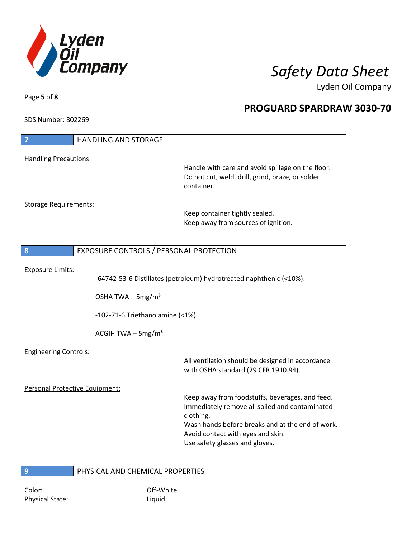

Lyden Oil Company

SDS Number: 802269

Page **5** of **8**

| $\overline{7}$                 | <b>HANDLING AND STORAGE</b>             |                                                                                                                                                                                                                                           |
|--------------------------------|-----------------------------------------|-------------------------------------------------------------------------------------------------------------------------------------------------------------------------------------------------------------------------------------------|
| <b>Handling Precautions:</b>   |                                         |                                                                                                                                                                                                                                           |
|                                |                                         | Handle with care and avoid spillage on the floor.<br>Do not cut, weld, drill, grind, braze, or solder<br>container.                                                                                                                       |
| <b>Storage Requirements:</b>   |                                         | Keep container tightly sealed.<br>Keep away from sources of ignition.                                                                                                                                                                     |
| 8                              | EXPOSURE CONTROLS / PERSONAL PROTECTION |                                                                                                                                                                                                                                           |
| <b>Exposure Limits:</b>        | OSHA TWA - 5mg/m <sup>3</sup>           | -64742-53-6 Distillates (petroleum) hydrotreated naphthenic (<10%):                                                                                                                                                                       |
|                                | $-102-71-6$ Triethanolamine (<1%)       |                                                                                                                                                                                                                                           |
|                                | ACGIH TWA $-$ 5mg/m <sup>3</sup>        |                                                                                                                                                                                                                                           |
| <b>Engineering Controls:</b>   |                                         | All ventilation should be designed in accordance<br>with OSHA standard (29 CFR 1910.94).                                                                                                                                                  |
| Personal Protective Equipment: |                                         |                                                                                                                                                                                                                                           |
|                                |                                         | Keep away from foodstuffs, beverages, and feed.<br>Immediately remove all soiled and contaminated<br>clothing.<br>Wash hands before breaks and at the end of work.<br>Avoid contact with eyes and skin.<br>Use safety glasses and gloves. |
| 9                              | PHYSICAL AND CHEMICAL PROPERTIES        |                                                                                                                                                                                                                                           |

Color: Color: Color: Color: Color: Color: Color: Color: Color: Color: Color: Color: Color: Color: Color: Color: Color: Color: Color: Color: Color: Color: Color: Color: Color: Color: Color: Color: Color: Color: Color: Color Physical State: Liquid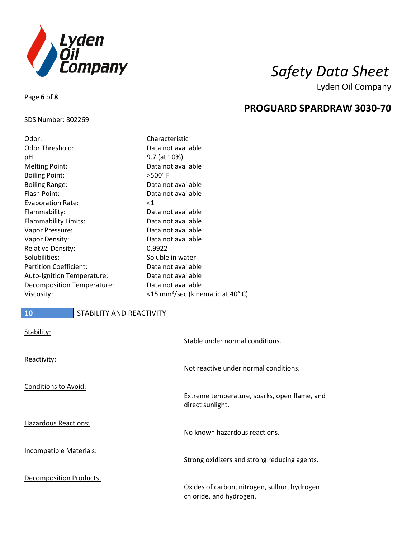

Lyden Oil Company

## SDS Number: 802269

Page **6** of **8**

| Characteristic                               |
|----------------------------------------------|
| Data not available                           |
| 9.7 (at 10%)                                 |
| Data not available                           |
| $>500^\circ$ F                               |
| Data not available                           |
| Data not available                           |
| $<$ 1                                        |
| Data not available                           |
| Data not available                           |
| Data not available                           |
| Data not available                           |
| 0.9922                                       |
| Soluble in water                             |
| Data not available                           |
| Data not available                           |
| Data not available                           |
| <15 mm <sup>2</sup> /sec (kinematic at 40°C) |
|                                              |

# **10** STABILITY AND REACTIVITY

| Stability:                     | Stable under normal conditions.                                         |
|--------------------------------|-------------------------------------------------------------------------|
| Reactivity:                    | Not reactive under normal conditions.                                   |
| <b>Conditions to Avoid:</b>    | Extreme temperature, sparks, open flame, and<br>direct sunlight.        |
| <b>Hazardous Reactions:</b>    | No known hazardous reactions.                                           |
| Incompatible Materials:        | Strong oxidizers and strong reducing agents.                            |
| <b>Decomposition Products:</b> | Oxides of carbon, nitrogen, sulhur, hydrogen<br>chloride, and hydrogen. |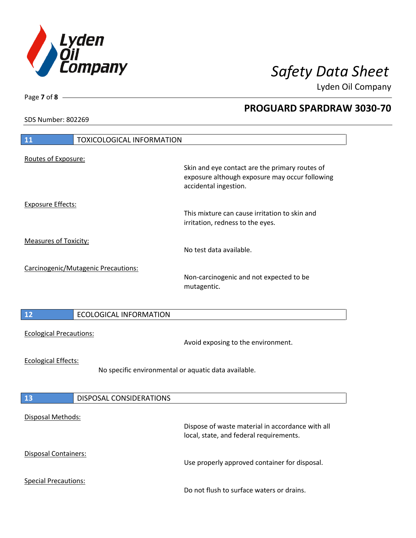

Lyden Oil Company

SDS Number: 802269

Page **7** of **8**

| <b>11</b>                                                                          | <b>TOXICOLOGICAL INFORMATION</b>    |                                                                                                                           |
|------------------------------------------------------------------------------------|-------------------------------------|---------------------------------------------------------------------------------------------------------------------------|
|                                                                                    |                                     |                                                                                                                           |
| Routes of Exposure:                                                                |                                     | Skin and eye contact are the primary routes of<br>exposure although exposure may occur following<br>accidental ingestion. |
| <b>Exposure Effects:</b>                                                           |                                     | This mixture can cause irritation to skin and<br>irritation, redness to the eyes.                                         |
| <b>Measures of Toxicity:</b>                                                       |                                     | No test data available.                                                                                                   |
|                                                                                    | Carcinogenic/Mutagenic Precautions: | Non-carcinogenic and not expected to be<br>mutagentic.                                                                    |
| 12                                                                                 | <b>ECOLOGICAL INFORMATION</b>       |                                                                                                                           |
| <b>Ecological Precautions:</b>                                                     |                                     | Avoid exposing to the environment.                                                                                        |
| <b>Ecological Effects:</b><br>No specific environmental or aquatic data available. |                                     |                                                                                                                           |
| <b>13</b>                                                                          | <b>DISPOSAL CONSIDERATIONS</b>      |                                                                                                                           |
| Disposal Methods:                                                                  |                                     | Dispose of waste material in accordance with all<br>local, state, and federal requirements.                               |
| Disposal Containers:                                                               |                                     | Use properly approved container for disposal.                                                                             |
| <b>Special Precautions:</b>                                                        |                                     | Do not flush to surface waters or drains.                                                                                 |